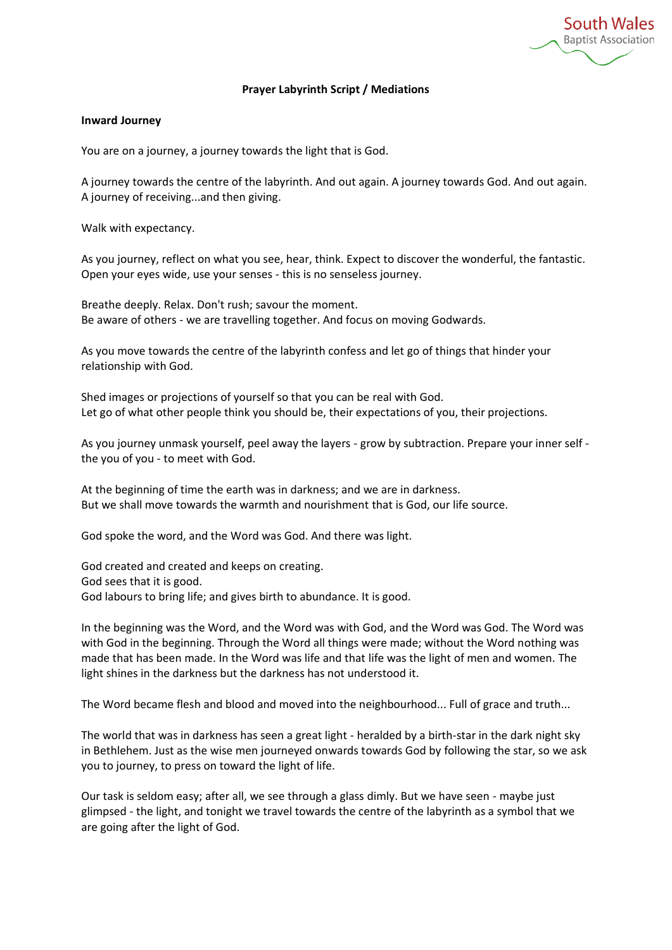**South Wales Baptist Association** 

### **Prayer Labyrinth Script / Mediations**

#### **Inward Journey**

You are on a journey, a journey towards the light that is God.

A journey towards the centre of the labyrinth. And out again. A journey towards God. And out again. A journey of receiving...and then giving.

Walk with expectancy.

As you journey, reflect on what you see, hear, think. Expect to discover the wonderful, the fantastic. Open your eyes wide, use your senses - this is no senseless journey.

Breathe deeply. Relax. Don't rush; savour the moment. Be aware of others - we are travelling together. And focus on moving Godwards.

As you move towards the centre of the labyrinth confess and let go of things that hinder your relationship with God.

Shed images or projections of yourself so that you can be real with God. Let go of what other people think you should be, their expectations of you, their projections.

As you journey unmask yourself, peel away the layers - grow by subtraction. Prepare your inner self the you of you - to meet with God.

At the beginning of time the earth was in darkness; and we are in darkness. But we shall move towards the warmth and nourishment that is God, our life source.

God spoke the word, and the Word was God. And there was light.

God created and created and keeps on creating. God sees that it is good. God labours to bring life; and gives birth to abundance. It is good.

In the beginning was the Word, and the Word was with God, and the Word was God. The Word was with God in the beginning. Through the Word all things were made; without the Word nothing was made that has been made. In the Word was life and that life was the light of men and women. The light shines in the darkness but the darkness has not understood it.

The Word became flesh and blood and moved into the neighbourhood... Full of grace and truth...

The world that was in darkness has seen a great light - heralded by a birth-star in the dark night sky in Bethlehem. Just as the wise men journeyed onwards towards God by following the star, so we ask you to journey, to press on toward the light of life.

Our task is seldom easy; after all, we see through a glass dimly. But we have seen - maybe just glimpsed - the light, and tonight we travel towards the centre of the labyrinth as a symbol that we are going after the light of God.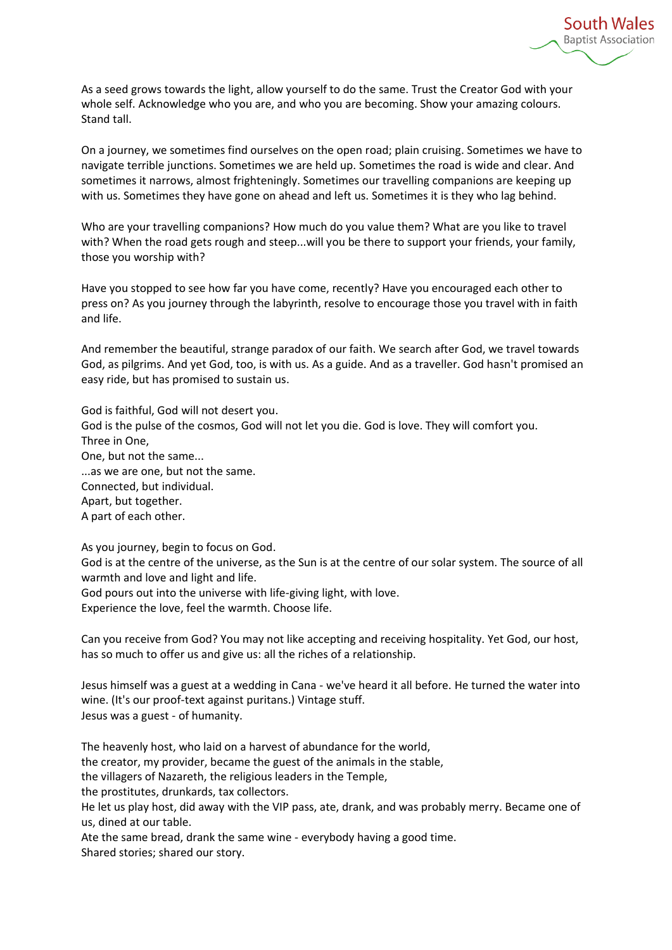

As a seed grows towards the light, allow yourself to do the same. Trust the Creator God with your whole self. Acknowledge who you are, and who you are becoming. Show your amazing colours. Stand tall.

On a journey, we sometimes find ourselves on the open road; plain cruising. Sometimes we have to navigate terrible junctions. Sometimes we are held up. Sometimes the road is wide and clear. And sometimes it narrows, almost frighteningly. Sometimes our travelling companions are keeping up with us. Sometimes they have gone on ahead and left us. Sometimes it is they who lag behind.

Who are your travelling companions? How much do you value them? What are you like to travel with? When the road gets rough and steep...will you be there to support your friends, your family, those you worship with?

Have you stopped to see how far you have come, recently? Have you encouraged each other to press on? As you journey through the labyrinth, resolve to encourage those you travel with in faith and life.

And remember the beautiful, strange paradox of our faith. We search after God, we travel towards God, as pilgrims. And yet God, too, is with us. As a guide. And as a traveller. God hasn't promised an easy ride, but has promised to sustain us.

God is faithful, God will not desert you. God is the pulse of the cosmos, God will not let you die. God is love. They will comfort you. Three in One, One, but not the same... ...as we are one, but not the same. Connected, but individual. Apart, but together. A part of each other.

As you journey, begin to focus on God.

God is at the centre of the universe, as the Sun is at the centre of our solar system. The source of all warmth and love and light and life.

God pours out into the universe with life-giving light, with love. Experience the love, feel the warmth. Choose life.

Can you receive from God? You may not like accepting and receiving hospitality. Yet God, our host, has so much to offer us and give us: all the riches of a relationship.

Jesus himself was a guest at a wedding in Cana - we've heard it all before. He turned the water into wine. (It's our proof-text against puritans.) Vintage stuff. Jesus was a guest - of humanity.

The heavenly host, who laid on a harvest of abundance for the world,

the creator, my provider, became the guest of the animals in the stable,

the villagers of Nazareth, the religious leaders in the Temple,

the prostitutes, drunkards, tax collectors.

He let us play host, did away with the VIP pass, ate, drank, and was probably merry. Became one of us, dined at our table.

Ate the same bread, drank the same wine - everybody having a good time. Shared stories; shared our story.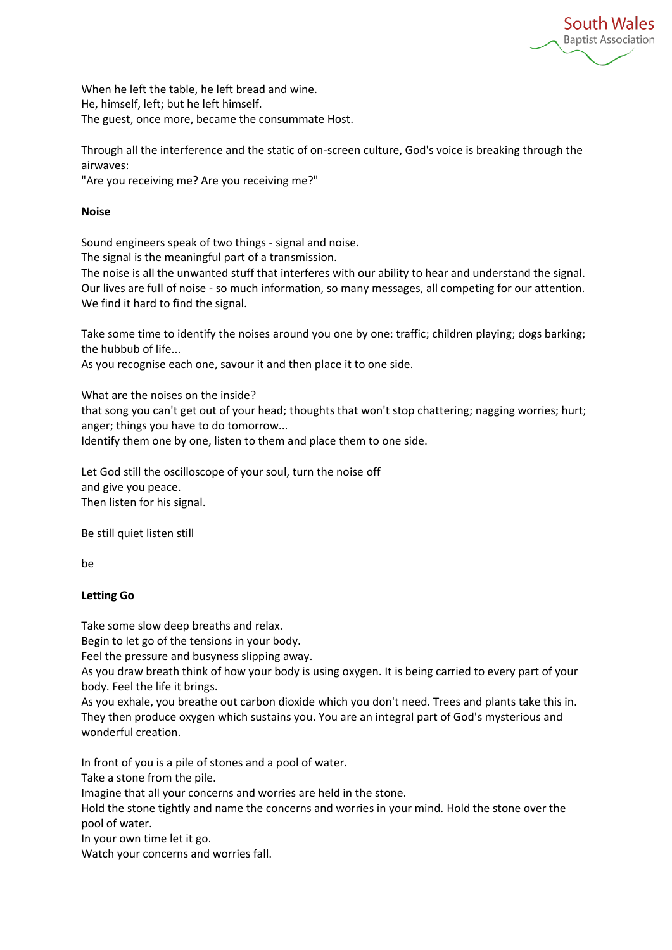**South Wales Baptist Association** 

When he left the table, he left bread and wine. He, himself, left; but he left himself. The guest, once more, became the consummate Host.

Through all the interference and the static of on-screen culture, God's voice is breaking through the airwaves:

"Are you receiving me? Are you receiving me?"

# **Noise**

Sound engineers speak of two things - signal and noise.

The signal is the meaningful part of a transmission.

The noise is all the unwanted stuff that interferes with our ability to hear and understand the signal. Our lives are full of noise - so much information, so many messages, all competing for our attention. We find it hard to find the signal.

Take some time to identify the noises around you one by one: traffic; children playing; dogs barking; the hubbub of life...

As you recognise each one, savour it and then place it to one side.

What are the noises on the inside?

that song you can't get out of your head; thoughts that won't stop chattering; nagging worries; hurt; anger; things you have to do tomorrow...

Identify them one by one, listen to them and place them to one side.

Let God still the oscilloscope of your soul, turn the noise off and give you peace. Then listen for his signal.

Be still quiet listen still

be

# **Letting Go**

Take some slow deep breaths and relax.

Begin to let go of the tensions in your body.

Feel the pressure and busyness slipping away.

As you draw breath think of how your body is using oxygen. It is being carried to every part of your body. Feel the life it brings.

As you exhale, you breathe out carbon dioxide which you don't need. Trees and plants take this in. They then produce oxygen which sustains you. You are an integral part of God's mysterious and wonderful creation.

In front of you is a pile of stones and a pool of water.

Take a stone from the pile.

Imagine that all your concerns and worries are held in the stone.

Hold the stone tightly and name the concerns and worries in your mind. Hold the stone over the pool of water.

In your own time let it go.

Watch your concerns and worries fall.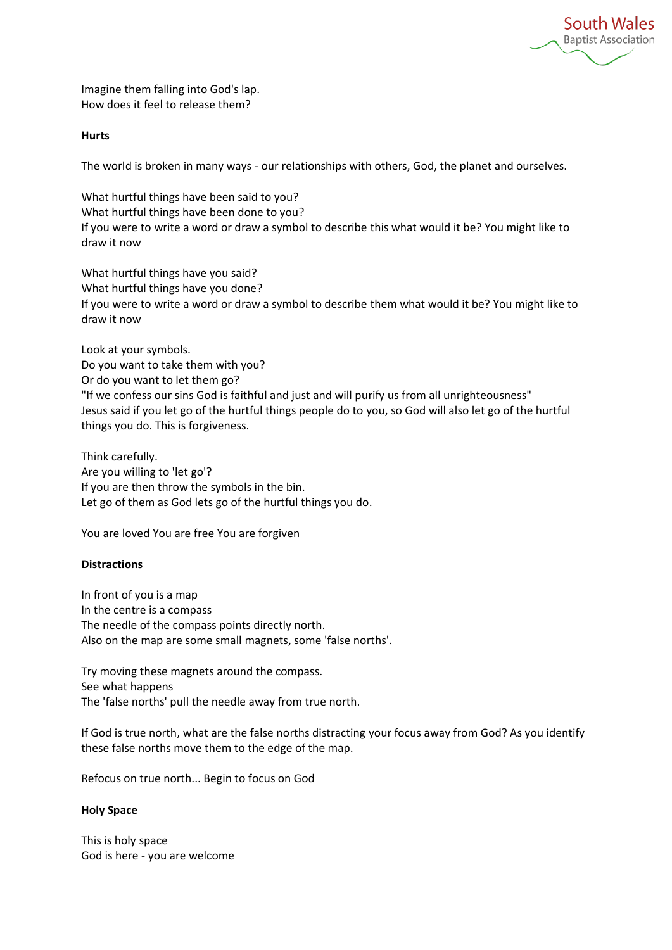**South Wales Baptist Association** 

Imagine them falling into God's lap. How does it feel to release them?

#### **Hurts**

The world is broken in many ways - our relationships with others, God, the planet and ourselves.

What hurtful things have been said to you? What hurtful things have been done to you? If you were to write a word or draw a symbol to describe this what would it be? You might like to draw it now

What hurtful things have you said? What hurtful things have you done? If you were to write a word or draw a symbol to describe them what would it be? You might like to draw it now

Look at your symbols. Do you want to take them with you? Or do you want to let them go? "If we confess our sins God is faithful and just and will purify us from all unrighteousness" Jesus said if you let go of the hurtful things people do to you, so God will also let go of the hurtful things you do. This is forgiveness.

Think carefully. Are you willing to 'let go'? If you are then throw the symbols in the bin. Let go of them as God lets go of the hurtful things you do.

You are loved You are free You are forgiven

# **Distractions**

In front of you is a map In the centre is a compass The needle of the compass points directly north. Also on the map are some small magnets, some 'false norths'.

Try moving these magnets around the compass. See what happens The 'false norths' pull the needle away from true north.

If God is true north, what are the false norths distracting your focus away from God? As you identify these false norths move them to the edge of the map.

Refocus on true north... Begin to focus on God

# **Holy Space**

This is holy space God is here - you are welcome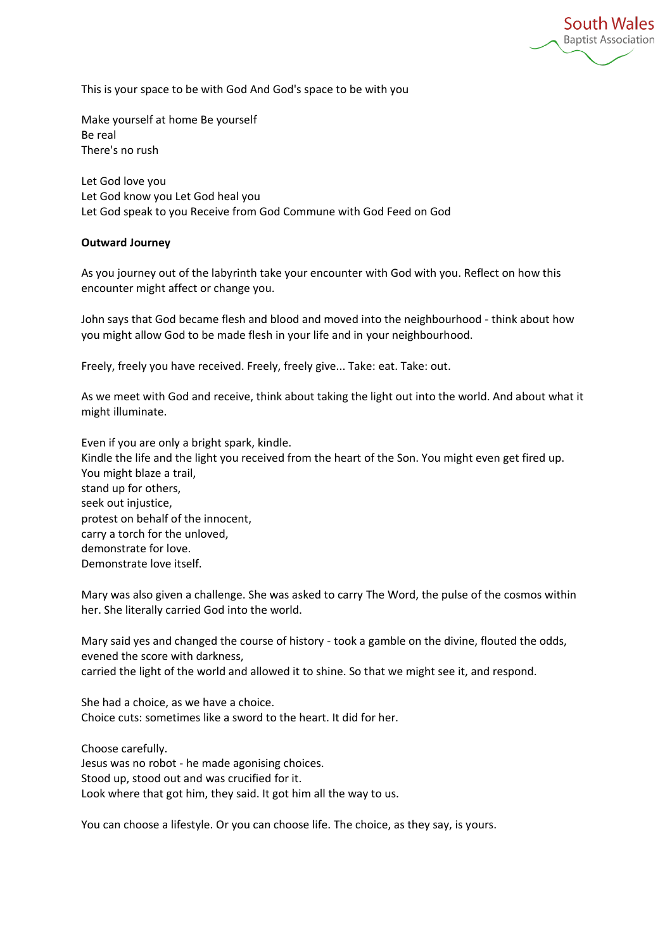**South Wales Baptist Association** 

This is your space to be with God And God's space to be with you

Make yourself at home Be yourself Be real There's no rush

Let God love you Let God know you Let God heal you Let God speak to you Receive from God Commune with God Feed on God

### **Outward Journey**

As you journey out of the labyrinth take your encounter with God with you. Reflect on how this encounter might affect or change you.

John says that God became flesh and blood and moved into the neighbourhood - think about how you might allow God to be made flesh in your life and in your neighbourhood.

Freely, freely you have received. Freely, freely give... Take: eat. Take: out.

As we meet with God and receive, think about taking the light out into the world. And about what it might illuminate.

Even if you are only a bright spark, kindle. Kindle the life and the light you received from the heart of the Son. You might even get fired up. You might blaze a trail, stand up for others, seek out injustice, protest on behalf of the innocent, carry a torch for the unloved, demonstrate for love. Demonstrate love itself.

Mary was also given a challenge. She was asked to carry The Word, the pulse of the cosmos within her. She literally carried God into the world.

Mary said yes and changed the course of history - took a gamble on the divine, flouted the odds, evened the score with darkness, carried the light of the world and allowed it to shine. So that we might see it, and respond.

She had a choice, as we have a choice. Choice cuts: sometimes like a sword to the heart. It did for her.

Choose carefully. Jesus was no robot - he made agonising choices. Stood up, stood out and was crucified for it. Look where that got him, they said. It got him all the way to us.

You can choose a lifestyle. Or you can choose life. The choice, as they say, is yours.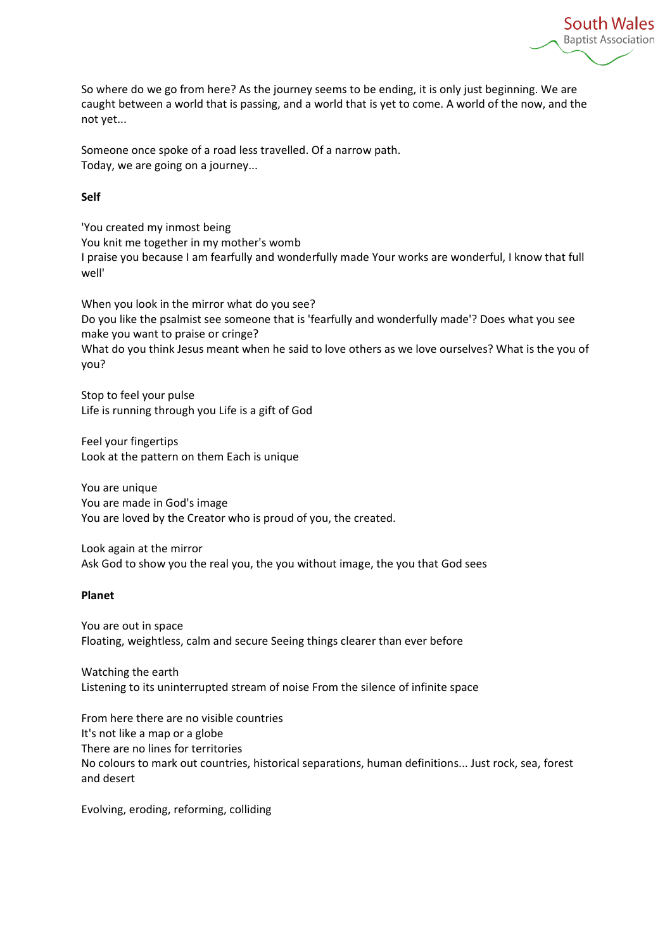**South Wales Baptist Association** 

So where do we go from here? As the journey seems to be ending, it is only just beginning. We are caught between a world that is passing, and a world that is yet to come. A world of the now, and the not yet...

Someone once spoke of a road less travelled. Of a narrow path. Today, we are going on a journey...

### **Self**

'You created my inmost being You knit me together in my mother's womb I praise you because I am fearfully and wonderfully made Your works are wonderful, I know that full well'

When you look in the mirror what do you see? Do you like the psalmist see someone that is 'fearfully and wonderfully made'? Does what you see make you want to praise or cringe? What do you think Jesus meant when he said to love others as we love ourselves? What is the you of you?

Stop to feel your pulse Life is running through you Life is a gift of God

Feel your fingertips Look at the pattern on them Each is unique

You are unique You are made in God's image You are loved by the Creator who is proud of you, the created.

Look again at the mirror Ask God to show you the real you, the you without image, the you that God sees

# **Planet**

You are out in space Floating, weightless, calm and secure Seeing things clearer than ever before

Watching the earth Listening to its uninterrupted stream of noise From the silence of infinite space

From here there are no visible countries It's not like a map or a globe There are no lines for territories No colours to mark out countries, historical separations, human definitions... Just rock, sea, forest and desert

Evolving, eroding, reforming, colliding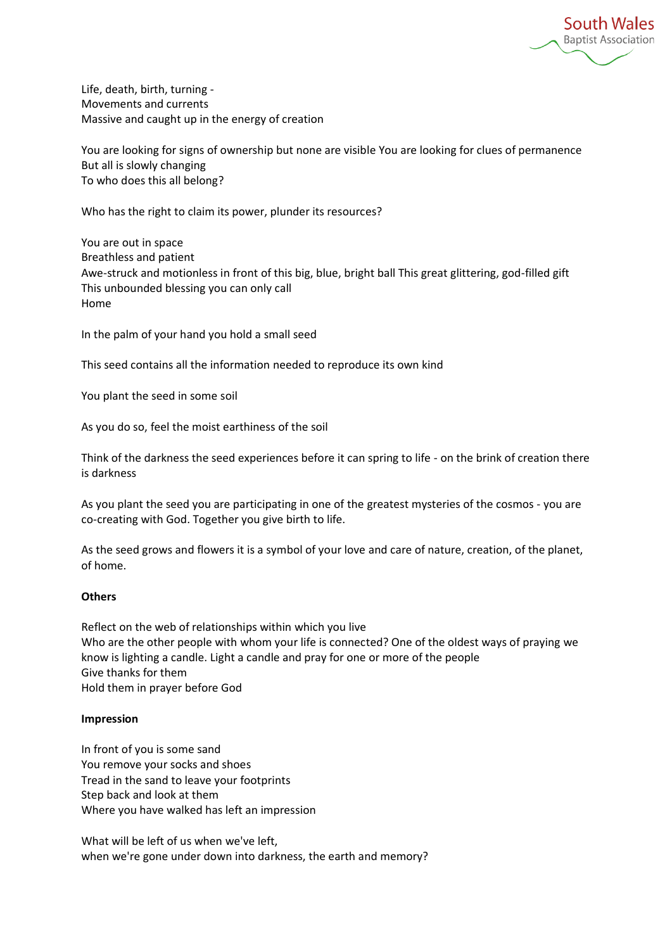**South Wales Baptist Association** 

Life, death, birth, turning - Movements and currents Massive and caught up in the energy of creation

You are looking for signs of ownership but none are visible You are looking for clues of permanence But all is slowly changing To who does this all belong?

Who has the right to claim its power, plunder its resources?

You are out in space Breathless and patient Awe-struck and motionless in front of this big, blue, bright ball This great glittering, god-filled gift This unbounded blessing you can only call Home

In the palm of your hand you hold a small seed

This seed contains all the information needed to reproduce its own kind

You plant the seed in some soil

As you do so, feel the moist earthiness of the soil

Think of the darkness the seed experiences before it can spring to life - on the brink of creation there is darkness

As you plant the seed you are participating in one of the greatest mysteries of the cosmos - you are co-creating with God. Together you give birth to life.

As the seed grows and flowers it is a symbol of your love and care of nature, creation, of the planet, of home.

#### **Others**

Reflect on the web of relationships within which you live Who are the other people with whom your life is connected? One of the oldest ways of praying we know is lighting a candle. Light a candle and pray for one or more of the people Give thanks for them Hold them in prayer before God

#### **Impression**

In front of you is some sand You remove your socks and shoes Tread in the sand to leave your footprints Step back and look at them Where you have walked has left an impression

What will be left of us when we've left, when we're gone under down into darkness, the earth and memory?